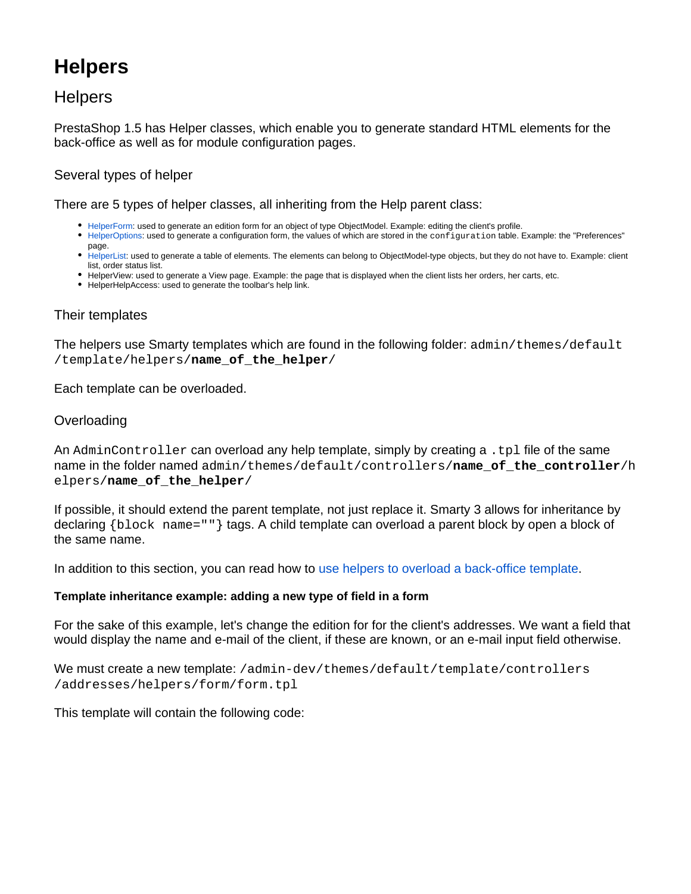# **Helpers**

# **Helpers**

PrestaShop 1.5 has Helper classes, which enable you to generate standard HTML elements for the back-office as well as for module configuration pages.

## Several types of helper

There are 5 types of helper classes, all inheriting from the Help parent class:

- [HelperForm:](https://doc.prestashop.com/display/PS15/HelperForm) used to generate an edition form for an object of type ObjectModel. Example: editing the client's profile.
- [HelperOptions:](https://doc.prestashop.com/display/PS15/HelperOptions) used to generate a configuration form, the values of which are stored in the configuration table. Example: the "Preferences" page.
- [HelperList:](https://doc.prestashop.com/display/PS15/HelperList) used to generate a table of elements. The elements can belong to ObjectModel-type objects, but they do not have to. Example: client list, order status list.
- HelperView: used to generate a View page. Example: the page that is displayed when the client lists her orders, her carts, etc.
- HelperHelpAccess: used to generate the toolbar's help link.

## Their templates

The helpers use Smarty templates which are found in the following folder:  $\alpha$ dmin/themes/default /template/helpers/**name\_of\_the\_helper**/

Each template can be overloaded.

#### **Overloading**

An AdminController can overload any help template, simply by creating a .tpl file of the same name in the folder named admin/themes/default/controllers/**name\_of\_the\_controller**/h elpers/**name\_of\_the\_helper**/

If possible, it should extend the parent template, not just replace it. Smarty 3 allows for inheritance by declaring {block name=""} tags. A child template can overload a parent block by open a block of the same name.

In addition to this section, you can read how to [use helpers to overload a back-office template.](https://doc.prestashop.com/display/PS15/Using+helpers+to+overload+a+back-office+template)

#### **Template inheritance example: adding a new type of field in a form**

For the sake of this example, let's change the edition for for the client's addresses. We want a field that would display the name and e-mail of the client, if these are known, or an e-mail input field otherwise.

We must create a new template: /admin-dev/themes/default/template/controllers /addresses/helpers/form/form.tpl

This template will contain the following code: